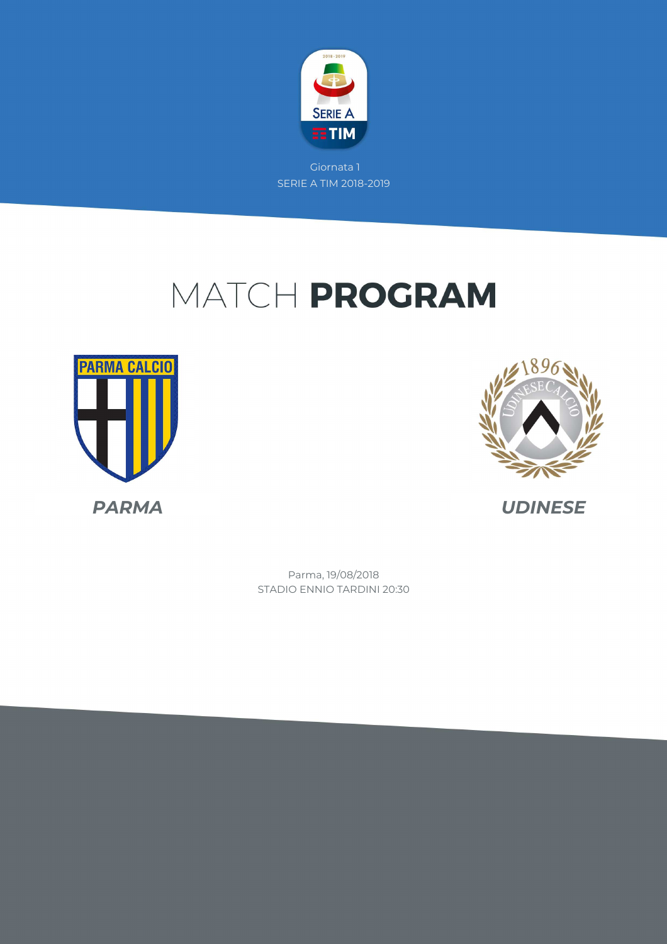

# MATCH PROGRAM





STADIO ENNIO TARDINI 20:30 Parma, 19/08/2018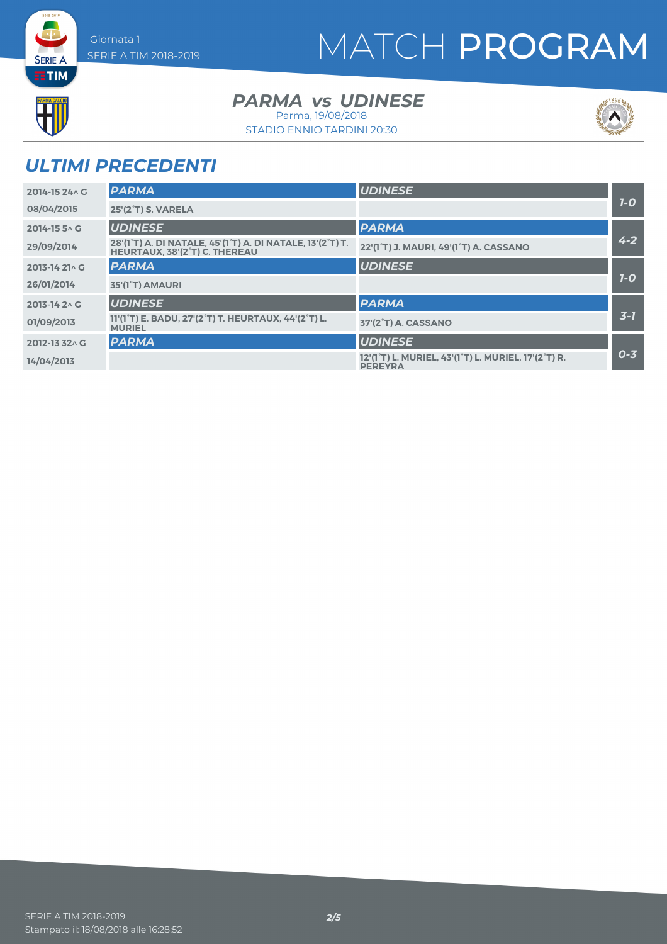# MATCH PROGRAM



**SERIE A** 

**PARMA** vs UDINESE

STADIO ENNIO TARDINI 20:30 Parma, 19/08/2018



## *ULTIMI PRECEDENTI*

| 2014-15 24 \ G  | <b>PARMA</b>                                                                                                | <b>UDINESE</b>                                                                                               |         |
|-----------------|-------------------------------------------------------------------------------------------------------------|--------------------------------------------------------------------------------------------------------------|---------|
| 08/04/2015      | <b>25'(2°T) S. VARELA</b>                                                                                   |                                                                                                              | $7-0$   |
| 2014-15 5 ^ G   | <b>UDINESE</b>                                                                                              | <b>PARMA</b>                                                                                                 |         |
| 29/09/2014      | 28'(1°T) A. DI NATALE, 45'(1°T) A. DI NATALE, 13'(2°T) T.<br><b>HEURTAUX, 38'(2°T) C. THEREAU</b>           | 22'(1°T) J. MAURI, 49'(1°T) A. CASSANO                                                                       | $4 - 2$ |
| 2013-14 21 \ G  | <b>PARMA</b>                                                                                                | <b>UDINESE</b>                                                                                               |         |
| 26/01/2014      | 35'(1°T) AMAURI                                                                                             |                                                                                                              | $7-0$   |
| $2013 - 1420 G$ | <b>UDINESE</b>                                                                                              | <b>PARMA</b>                                                                                                 |         |
| 01/09/2013      | 11'(1 <sup>°</sup> T) E. BADU, 27'(2 <sup>°</sup> T) T. HEURTAUX, 44'(2 <sup>°</sup> T) L.<br><b>MURIEL</b> | 37'(2°T) A. CASSANO                                                                                          | $3 - 7$ |
| 2012-13 32 \ G  | <b>PARMA</b>                                                                                                | <b>UDINESE</b>                                                                                               |         |
| 14/04/2013      |                                                                                                             | 12'(1 <sup>°</sup> T) L. MURIEL, 43'(1 <sup>°</sup> T) L. MURIEL, 17'(2 <sup>°</sup> T) R.<br><b>PEREYRA</b> | $0 - 3$ |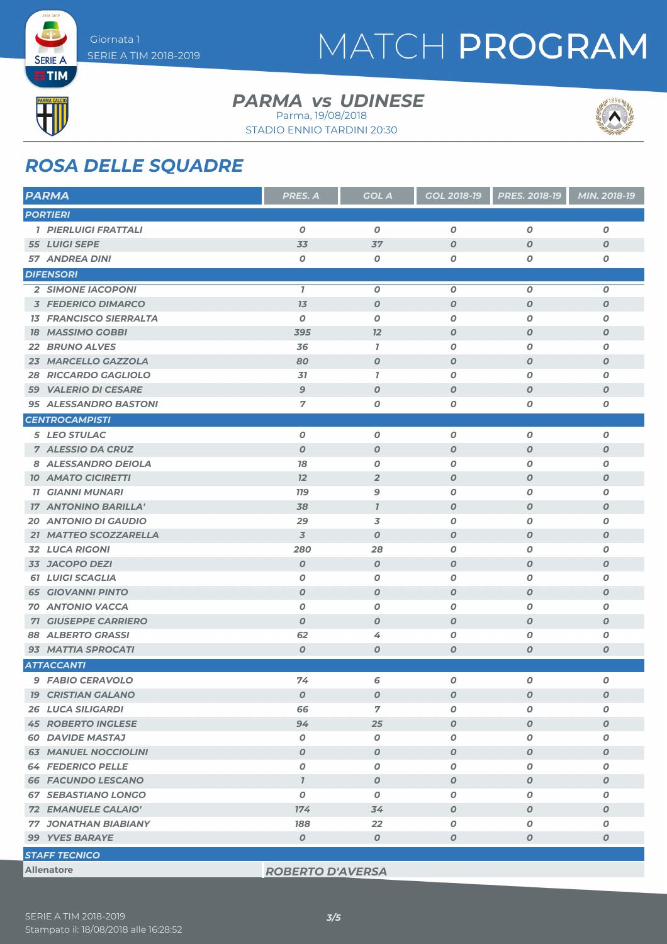

## MATCH PROGRAM



**SERIE A** 

### **PARMA** vs UDINESE

Parma, 19/08/2018



STADIO ENNIO TARDINI 20:30

### *ROSA DELLE SQUADRE*

| <b>PARMA</b>                   | <b>PRES. A</b>   | <b>GOL A</b>     | <b>GOL 2018-19</b> | PRES. 2018-19    | MIN. 2018-19     |
|--------------------------------|------------------|------------------|--------------------|------------------|------------------|
| <b>PORTIERI</b>                |                  |                  |                    |                  |                  |
| <b>1 PIERLUIGI FRATTALI</b>    | $\boldsymbol{O}$ | $\boldsymbol{0}$ | $\boldsymbol{O}$   | $\boldsymbol{o}$ | $\boldsymbol{o}$ |
| 55 LUIGI SEPE                  | 33               | 37               | $\boldsymbol{O}$   | $\boldsymbol{O}$ | $\boldsymbol{o}$ |
| <b>57 ANDREA DINI</b>          | $\boldsymbol{O}$ | 0                | $\boldsymbol{O}$   | 0                | 0                |
| <b>DIFENSORI</b>               |                  |                  |                    |                  |                  |
| <b>2 SIMONE IACOPONI</b>       | $\overline{1}$   | $\boldsymbol{0}$ | $\boldsymbol{O}$   | O                | 0                |
| <b>3 FEDERICO DIMARCO</b>      | 7 <sub>3</sub>   | $\boldsymbol{0}$ | $\boldsymbol{O}$   | $\boldsymbol{O}$ | 0                |
| <b>13 FRANCISCO SIERRALTA</b>  | $\boldsymbol{0}$ | $\boldsymbol{0}$ | $\boldsymbol{O}$   | O                | 0                |
| <b>18 MASSIMO GOBBI</b>        | 395              | 12               | $\boldsymbol{O}$   | $\boldsymbol{O}$ | $\boldsymbol{o}$ |
| 22 BRUNO ALVES                 | 36               | 7                | 0                  | 0                | 0                |
| 23 MARCELLO GAZZOLA            | 80               | $\boldsymbol{o}$ | $\boldsymbol{O}$   | $\boldsymbol{O}$ | 0                |
| <b>RICCARDO GAGLIOLO</b><br>28 | 31               | $\bf{7}$         | $\boldsymbol{O}$   | 0                | 0                |
| <b>59 VALERIO DI CESARE</b>    | $\mathbf{9}$     | $\boldsymbol{0}$ | $\boldsymbol{O}$   | $\boldsymbol{O}$ | 0                |
| 95 ALESSANDRO BASTONI          | 7                | O                | O                  | 0                | Ο                |
| <b>CENTROCAMPISTI</b>          |                  |                  |                    |                  |                  |
| 5 LEO STULAC                   | $\boldsymbol{0}$ | $\boldsymbol{0}$ | O                  | $\boldsymbol{O}$ | 0                |
| 7 ALESSIO DA CRUZ              | $\boldsymbol{O}$ | $\boldsymbol{O}$ | $\boldsymbol{O}$   | $\boldsymbol{O}$ | 0                |
| 8 ALESSANDRO DEIOLA            | 78               | $\boldsymbol{0}$ | $\boldsymbol{O}$   | 0                | 0                |
| <b>10 AMATO CICIRETTI</b>      | 12               | $\overline{2}$   | $\boldsymbol{O}$   | $\boldsymbol{O}$ | $\boldsymbol{o}$ |
| <b>11 GIANNI MUNARI</b>        | <b>779</b>       | 9                | 0                  | 0                | 0                |
| <b>17 ANTONINO BARILLA'</b>    | 38               | $\mathbf{I}$     | $\boldsymbol{O}$   | $\boldsymbol{O}$ | $\boldsymbol{o}$ |
| <b>20 ANTONIO DI GAUDIO</b>    | 29               | 3                | $\boldsymbol{O}$   | 0                | 0                |
| 21 MATTEO SCOZZARELLA          | $\overline{3}$   | $\boldsymbol{O}$ | $\boldsymbol{O}$   | $\boldsymbol{O}$ | $\boldsymbol{o}$ |
| <b>32 LUCA RIGONI</b>          | 280              | 28               | O                  | 0                | 0                |
| 33 JACOPO DEZI                 | $\boldsymbol{0}$ | $\boldsymbol{0}$ | $\boldsymbol{O}$   | $\boldsymbol{O}$ | 0                |
| <b>61 LUIGI SCAGLIA</b>        | $\boldsymbol{O}$ | $\boldsymbol{0}$ | $\boldsymbol{O}$   | 0                | 0                |
| <b>65 GIOVANNI PINTO</b>       | $\boldsymbol{O}$ | $\boldsymbol{0}$ | $\boldsymbol{O}$   | $\boldsymbol{O}$ | 0                |
| <b>70 ANTONIO VACCA</b>        | 0                | 0                | O                  | 0                | 0                |
| <b>71 GIUSEPPE CARRIERO</b>    | $\boldsymbol{O}$ | $\boldsymbol{0}$ | $\boldsymbol{O}$   | $\boldsymbol{O}$ | $\boldsymbol{o}$ |
| 88 ALBERTO GRASSI              | 62               | 4                | $\boldsymbol{O}$   | 0                | O                |
| 93 MATTIA SPROCATI             | $\boldsymbol{0}$ | $\boldsymbol{O}$ | $\boldsymbol{O}$   | $\boldsymbol{O}$ | 0                |
| <b>ATTACCANTI</b>              |                  |                  |                    |                  |                  |
| <b>9 FABIO CERAVOLO</b>        | 74               | 6                | 0                  | O                | 0                |
| <b>19 CRISTIAN GALANO</b>      | $\boldsymbol{o}$ | $\pmb{o}$        | $\boldsymbol{o}$   | 0                | 0                |
| <b>26 LUCA SILIGARDI</b>       | 66               | 7                | 0                  | O                | O                |
| <b>45 ROBERTO INGLESE</b>      | 94               | 25               | $\boldsymbol{o}$   | $\boldsymbol{o}$ | 0                |
| <b>60 DAVIDE MASTAJ</b>        | 0                | 0                | 0                  | 0                | 0                |
| <b>63 MANUEL NOCCIOLINI</b>    | $\boldsymbol{o}$ | $\boldsymbol{0}$ | $\boldsymbol{o}$   | 0                | 0                |
| <b>64 FEDERICO PELLE</b>       | $\boldsymbol{O}$ | 0                | 0                  | 0                | 0                |
| <b>66 FACUNDO LESCANO</b>      | $\mathbf{7}$     | $\boldsymbol{o}$ | $\boldsymbol{o}$   | 0                | 0                |
| <b>67 SEBASTIANO LONGO</b>     | 0                | 0                | 0                  | 0                | 0                |
| 72 EMANUELE CALAIO'            | 174              | 34               | $\boldsymbol{o}$   | O                | $\pmb{o}$        |
| <b>77 JONATHAN BIABIANY</b>    | 188              | 22               | O                  | 0                | Ο                |
| 99 YVES BARAYE                 | O                | $\boldsymbol{O}$ | $\boldsymbol{o}$   | $\boldsymbol{O}$ | 0                |
| <b>STAFF TECNICO</b>           |                  |                  |                    |                  |                  |

#### **Allenatore** *ROBERTO D'AVERSA*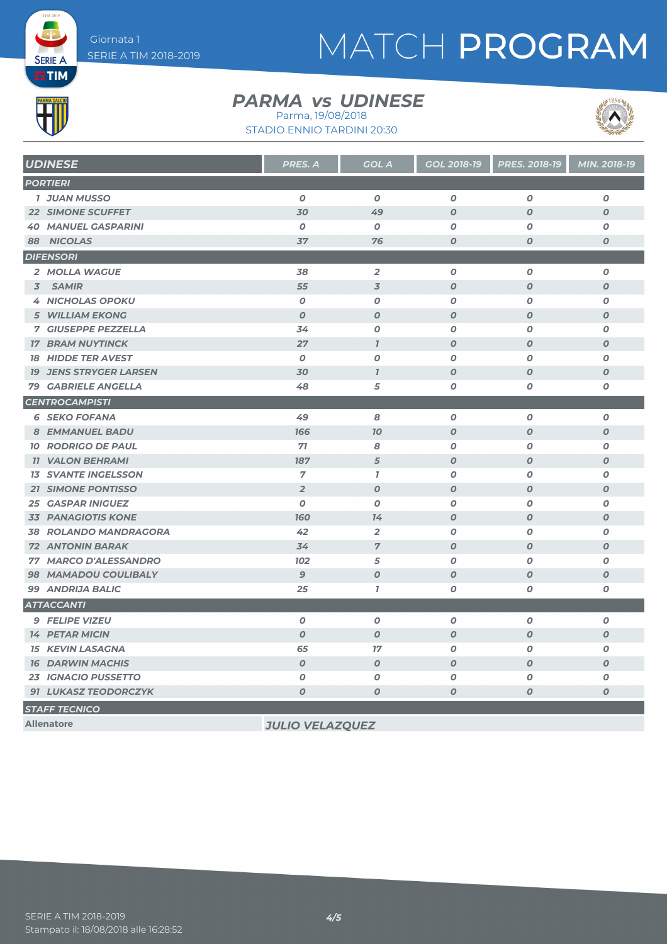# MATCH PROGRAM



**SERIE A** 

### **PARMA** vs UDINESE

STADIO ENNIO TARDINI 20:30 Parma, 19/08/2018



| <b>UDINESE</b>                | <b>PRES. A</b>   | <b>GOL A</b>     | <b>GOL 2018-19</b> | <b>PRES. 2018-19</b> | MIN. 2018-19     |
|-------------------------------|------------------|------------------|--------------------|----------------------|------------------|
| <b>PORTIERI</b>               |                  |                  |                    |                      |                  |
| <b>1 JUAN MUSSO</b>           | $\boldsymbol{0}$ | $\boldsymbol{o}$ | $\boldsymbol{O}$   | $\boldsymbol{0}$     | 0                |
| <b>22 SIMONE SCUFFET</b>      | 30               | 49               | $\boldsymbol{O}$   | $\boldsymbol{0}$     | $\boldsymbol{O}$ |
| <b>40 MANUEL GASPARINI</b>    | $\boldsymbol{o}$ | $\boldsymbol{o}$ | 0                  | 0                    | O                |
| 88 NICOLAS                    | 37               | 76               | $\boldsymbol{O}$   | $\boldsymbol{O}$     | $\boldsymbol{O}$ |
| <b>DIFENSORI</b>              |                  |                  |                    |                      |                  |
| 2 MOLLA WAGUE                 | 38               | $\overline{2}$   | $\boldsymbol{o}$   | $\boldsymbol{O}$     | 0                |
| 3 SAMIR                       | 55               | $\overline{3}$   | $\boldsymbol{O}$   | $\boldsymbol{O}$     | $\boldsymbol{O}$ |
| <b>4 NICHOLAS OPOKU</b>       | $\boldsymbol{o}$ | $\boldsymbol{O}$ | $\boldsymbol{o}$   | $\boldsymbol{O}$     | 0                |
| <b>5 WILLIAM EKONG</b>        | $\boldsymbol{O}$ | $\boldsymbol{O}$ | $\boldsymbol{O}$   | $\boldsymbol{0}$     | $\boldsymbol{O}$ |
| <b>7 GIUSEPPE PEZZELLA</b>    | 34               | $\boldsymbol{O}$ | $\boldsymbol{o}$   | $\boldsymbol{O}$     | $\boldsymbol{o}$ |
| <b>17 BRAM NUYTINCK</b>       | 27               | $\mathbf{7}$     | $\boldsymbol{0}$   | $\boldsymbol{0}$     | $\boldsymbol{o}$ |
| <b>18 HIDDE TER AVEST</b>     | $\boldsymbol{0}$ | $\boldsymbol{O}$ | $\boldsymbol{O}$   | $\boldsymbol{0}$     | $\boldsymbol{O}$ |
| <b>19 JENS STRYGER LARSEN</b> | 30               | $\overline{1}$   | $\boldsymbol{O}$   | $\boldsymbol{O}$     | $\boldsymbol{O}$ |
| <b>79 GABRIELE ANGELLA</b>    | 48               | 5                | 0                  | $\boldsymbol{0}$     | 0                |
| <b>CENTROCAMPISTI</b>         |                  |                  |                    |                      |                  |
| <b>6 SEKO FOFANA</b>          | 49               | 8                | 0                  | $\boldsymbol{O}$     | $\boldsymbol{o}$ |
| <b>8 EMMANUEL BADU</b>        | 166              | 70               | $\boldsymbol{O}$   | $\boldsymbol{O}$     | $\boldsymbol{O}$ |
| <b>10 RODRIGO DE PAUL</b>     | 71               | 8                | 0                  | $\boldsymbol{o}$     | 0                |
| <b>11 VALON BEHRAMI</b>       | 187              | 5                | $\boldsymbol{O}$   | $\boldsymbol{0}$     | $\boldsymbol{O}$ |
| <b>13 SVANTE INGELSSON</b>    | $\overline{7}$   | $\mathbf{7}$     | $\boldsymbol{o}$   | $\boldsymbol{0}$     | $\boldsymbol{o}$ |
| <b>21 SIMONE PONTISSO</b>     | $\overline{2}$   | $\boldsymbol{O}$ | $\boldsymbol{o}$   | $\boldsymbol{O}$     | $\boldsymbol{o}$ |
| <b>25 GASPAR INIGUEZ</b>      | $\boldsymbol{O}$ | $\boldsymbol{O}$ | $\boldsymbol{o}$   | $\boldsymbol{O}$     | $\boldsymbol{O}$ |
| <b>33 PANAGIOTIS KONE</b>     | <b>160</b>       | 14               | $\boldsymbol{O}$   | $\boldsymbol{O}$     | $\boldsymbol{o}$ |
| <b>38 ROLANDO MANDRAGORA</b>  | 42               | $\overline{2}$   | 0                  | 0                    | O                |
| <b>72 ANTONIN BARAK</b>       | 34               | $\overline{7}$   | $\boldsymbol{O}$   | $\boldsymbol{O}$     | $\boldsymbol{O}$ |
| 77 MARCO D'ALESSANDRO         | <b>102</b>       | 5                | $\boldsymbol{o}$   | $\boldsymbol{O}$     | 0                |
| <b>98 MAMADOU COULIBALY</b>   | $\overline{9}$   | $\boldsymbol{O}$ | $\boldsymbol{0}$   | $\boldsymbol{0}$     | $\boldsymbol{O}$ |
| 99 ANDRIJA BALIC              | 25               | $\mathbf{7}$     | $\boldsymbol{o}$   | $\boldsymbol{o}$     | $\pmb{o}$        |
| <b>ATTACCANTI</b>             |                  |                  |                    |                      |                  |
| <b>9 FELIPE VIZEU</b>         | $\boldsymbol{O}$ | $\boldsymbol{O}$ | $\boldsymbol{o}$   | $\boldsymbol{O}$     | $\boldsymbol{o}$ |
| <b>14 PETAR MICIN</b>         | $\boldsymbol{O}$ | $\boldsymbol{0}$ | $\boldsymbol{O}$   | $\boldsymbol{O}$     | $\boldsymbol{o}$ |
| <b>15 KEVIN LASAGNA</b>       | 65               | 17               | 0                  | $\boldsymbol{0}$     | 0                |
| <b>16 DARWIN MACHIS</b>       | $\boldsymbol{O}$ | $\boldsymbol{O}$ | $\boldsymbol{O}$   | $\boldsymbol{0}$     | $\boldsymbol{O}$ |
| <b>23 IGNACIO PUSSETTO</b>    | O                | $\boldsymbol{O}$ | O                  | 0                    | 0                |
| 91 LUKASZ TEODORCZYK          | $\boldsymbol{O}$ | $\boldsymbol{O}$ | O                  | $\boldsymbol{O}$     | $\boldsymbol{O}$ |
| <b>STAFF TECNICO</b>          |                  |                  |                    |                      |                  |

**Allenatore** *JULIO VELAZQUEZ*